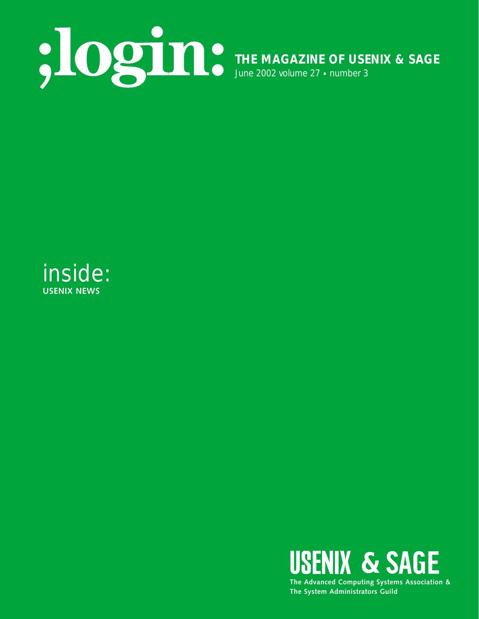

inside: **USENIX NEWS**

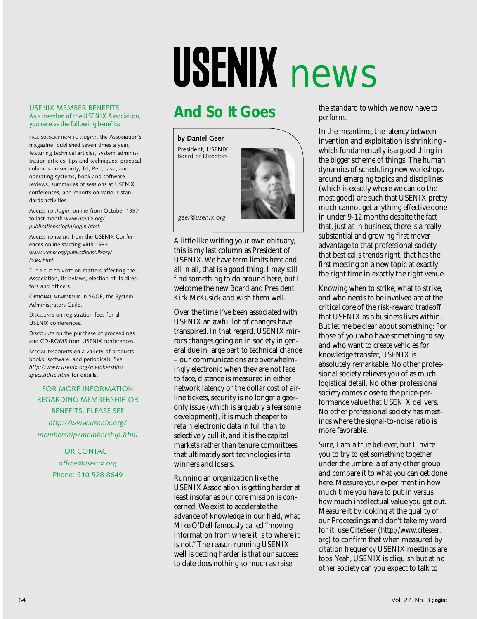# USENIX news

# **And So It Goes**

USENIX MEMBER BENEFITS As a member of the USENIX Association, you receive the following benefits:

FREE SUBSCRIPTION TO *;login:*, the Association's magazine, published seven times a year, featuring technical articles, system administration articles, tips and techniques, practical columns on security, Tcl, Perl, Java, and operating systems, book and software reviews, summaries of sessions at USENIX conferences, and reports on various standards activities.

ACCESS TO *;login:* online from October 1997 to last month *www.usenix.org/ publications/login/login.html.*

ACCESS TO PAPERS from the USENIX Conferences online starting with 1993 *www.usenix.org/publications/library/ index.html*.

THE RIGHT TO VOTE on matters affecting the Association, its bylaws, election of its directors and officers.

OPTIONAL MEMBERSHIP in SAGE, the System Administrators Guild.

DISCOUNTS on registration fees for all USENIX conferences.

DISCOUNTS on the purchase of proceedings and CD-ROMS from USENIX conferences.

SPECIAL DISCOUNTS on a variety of products, books, software, and periodicals. See *http://www.usenix.org/membership/ specialdisc.html* for details.

FOR MORE INFORMATION REGARDING MEMBERSHIP OR BENEFITS, PLEASE SEE *http://www.usenix.org/ membership/membership.html*

> OR CONTACT *office@usenix.org* Phone: 510 528 8649



*geer@usenix.org*

A little like writing your own obituary, this is my last column as President of USENIX. We have term limits here and, all in all, that is a good thing. I may still find something to do around here, but I welcome the new Board and President Kirk McKusick and wish them well.

Over the time I've been associated with USENIX an awful lot of changes have transpired. In that regard, USENIX mirrors changes going on in society in general due in large part to technical change – our communications are overwhelmingly electronic when they are not face to face, distance is measured in either network latency or the dollar cost of airline tickets, security is no longer a geekonly issue (which is arguably a fearsome development), it is much cheaper to retain electronic data in full than to selectively cull it, and it is the capital markets rather than tenure committees that ultimately sort technologies into winners and losers.

Running an organization like the USENIX Association is getting harder at least insofar as our core mission is concerned. We exist to accelerate the advance of knowledge in our field, what Mike O'Dell famously called "moving information from where it is to where it is not." The reason running USENIX well is getting harder is that our success to date does nothing so much as raise

the standard to which we now have to perform.

In the meantime, the latency between invention and exploitation is shrinking – which fundamentally is a good thing in the bigger scheme of things. The human dynamics of scheduling new workshops around emerging topics and disciplines (which is exactly where we can do the most good) are such that USENIX pretty much cannot get anything effective done in under 9-12 months despite the fact that, just as in business, there is a really substantial and growing first mover advantage to that professional society that best calls trends right, that has the first meeting on a new topic at exactly the right time in exactly the right venue.

Knowing when to strike, what to strike, and who needs to be involved are at the critical core of the risk-reward tradeoff that USENIX as a business lives within. But let me be clear about something: For those of you who have something to say and who want to create vehicles for knowledge transfer, USENIX is absolutely remarkable. No other professional society relieves you of as much logistical detail. No other professional society comes close to the price-performance value that USENIX delivers. No other professional society has meetings where the signal-to-noise ratio is more favorable.

Sure, I am a true believer, but I invite you to try to get something together under the umbrella of any other group and compare it to what you can get done here. Measure your experiment in how much time you have to put in versus how much intellectual value you get out. Measure it by looking at the quality of our Proceedings and don't take my word for it, use CiteSeer (*[http://www.citeseer.](http://www.citeseer) org*) to confirm that when measured by citation frequency USENIX meetings are tops. Yeah, USENIX is cliquish but at no other society can you expect to talk to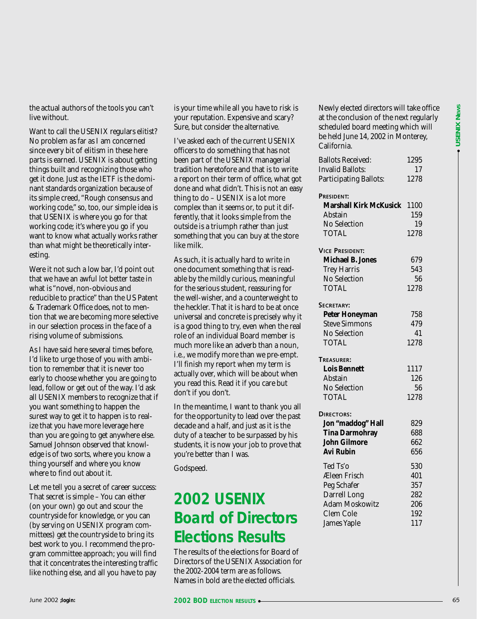the actual authors of the tools you can't live without.

Want to call the USENIX regulars elitist? No problem as far as I am concerned since every bit of elitism in these here parts is earned. USENIX is about getting things built and recognizing those who get it done. Just as the IETF is the dominant standards organization because of its simple creed, "Rough consensus and working code," so, too, our simple idea is that USENIX is where you go for that working code; it's where you go if you want to know what actually works rather than what might be theoretically interesting.

Were it not such a low bar, I'd point out that we have an awful lot better taste in what is "novel, non-obvious and reducible to practice" than the US Patent & Trademark Office does, not to mention that we are becoming more selective in our selection process in the face of a rising volume of submissions.

As I have said here several times before, I'd like to urge those of you with ambition to remember that it is never too early to choose whether you are going to lead, follow or get out of the way. I'd ask all USENIX members to recognize that if you want something to happen the surest way to get it to happen is to realize that you have more leverage here than you are going to get anywhere else. Samuel Johnson observed that knowledge is of two sorts, where you know a thing yourself and where you know where to find out about it.

Let me tell you a secret of career success: That secret is simple – You can either (on your own) go out and scour the countryside for knowledge, or you can (by serving on USENIX program committees) get the countryside to bring its best work to you. I recommend the program committee approach; you will find that it concentrates the interesting traffic like nothing else, and all you have to pay

is your time while all you have to risk is your reputation. Expensive and scary? Sure, but consider the alternative.

I've asked each of the current USENIX officers to do something that has not been part of the USENIX managerial tradition heretofore and that is to write a report on their term of office, what got done and what didn't. This is not an easy thing to do – USENIX is a lot more complex than it seems or, to put it differently, that it looks simple from the outside is a triumph rather than just something that you can buy at the store like milk.

As such, it is actually hard to write in one document something that is readable by the mildly curious, meaningful for the serious student, reassuring for the well-wisher, and a counterweight to the heckler. That it is hard to be at once universal and concrete is precisely why it is a good thing to try, even when the real role of an individual Board member is much more like an adverb than a noun, i.e., we modify more than we pre-empt. I'll finish my report when my term is actually over, which will be about when you read this. Read it if you care but don't if you don't.

In the meantime, I want to thank you all for the opportunity to lead over the past decade and a half, and just as it is the duty of a teacher to be surpassed by his students, it is now your job to prove that you're better than I was.

Godspeed.

## **2002 USENIX Board of Directors Elections Results**

The results of the elections for Board of Directors of the USENIX Association for the 2002-2004 term are as follows. Names in bold are the elected officials.

Newly elected directors will take office at the conclusion of the next regularly scheduled board meeting which will be held June 14, 2002 in Monterey, California.

| <b>Ballots Received:</b>      | 1295 |
|-------------------------------|------|
| <b>Invalid Ballots:</b>       | 17   |
| <b>Participating Ballots:</b> | 1278 |
| PRESIDENT:                    |      |
| <b>Marshall Kirk McKusick</b> | 1100 |
| Abstain                       | 159  |
| <b>No Selection</b>           | 19   |
| <b>TOTAL</b>                  | 1278 |
| <b>VICE PRESIDENT:</b>        |      |
| <b>Michael B. Jones</b>       | 679  |
| <b>Trey Harris</b>            | 543  |
| No Selection                  | 56   |
| <b>TOTAL</b>                  | 1278 |
| SECRETARY:                    |      |
| <b>Peter Honeyman</b>         | 758  |
| <b>Steve Simmons</b>          | 479  |
| <b>No Selection</b>           | 41   |
| <b>TOTAL</b>                  | 1278 |
| TREASURER:                    |      |
| <b>Lois Bennett</b>           | 1117 |
| <b>Abstain</b>                | 126  |
| <b>No Selection</b>           | 56   |
| <b>TOTAL</b>                  | 1278 |
| DIRECTORS:                    |      |
| Jon "maddog" Hall             | 829  |
| <b>Tina Darmohray</b>         | 688  |
| <b>John Gilmore</b>           | 662  |
| <b>Avi Rubin</b>              | 656  |
| Ted Ts'o                      | 530  |
| Æleen Frisch                  | 401  |
| Peg Schafer                   | 357  |
| Darrell Long                  | 282  |
| <b>Adam Moskowitz</b>         | 206  |
| <b>Clem Cole</b>              | 192  |
| <b>James Yaple</b>            | 117  |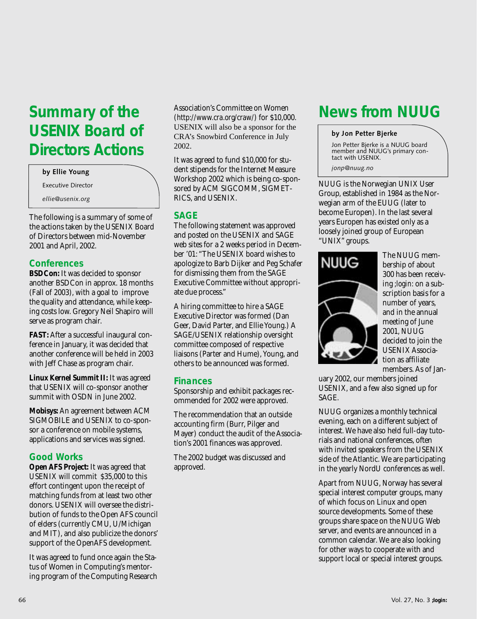## **Summary of the USENIX Board of Directors Actions**

#### **by Ellie Young**

Executive Director

*ellie@usenix.org*

The following is a summary of some of the actions taken by the USENIX Board of Directors between mid-November 2001 and April, 2002.

#### **Conferences**

**BSDCon:** It was decided to sponsor another BSDCon in approx. 18 months (Fall of 2003), with a goal to improve the quality and attendance, while keeping costs low. Gregory Neil Shapiro will serve as program chair.

**FAST:** After a successful inaugural conference in January, it was decided that another conference will be held in 2003 with Jeff Chase as program chair.

**Linux Kernel Summit II:** It was agreed that USENIX will co-sponsor another summit with OSDN in June 2002.

**Mobisys:** An agreement between ACM SIGMOBILE and USENIX to co-sponsor a conference on mobile systems, applications and services was signed.

#### **Good Works**

**Open AFS Project:** It was agreed that USENIX will commit \$35,000 to this effort contingent upon the receipt of matching funds from at least two other donors. USENIX will oversee the distribution of funds to the Open AFS council of elders (currently CMU, U/Michigan and MIT), and also publicize the donors' support of the OpenAFS development.

It was agreed to fund once again the Status of Women in Computing's mentoring program of the Computing Research

Association's Committee on Women (*<http://www.cra.org/craw/>*) for \$10,000. USENIX will also be a sponsor for the CRA's Snowbird Conference in July 2002.

It was agreed to fund \$10,000 for student stipends for the Internet Measure Workshop 2002 which is being co-sponsored by ACM SIGCOMM, SIGMET-RICS, and USENIX.

#### **SAGE**

The following statement was approved and posted on the USENIX and SAGE web sites for a 2 weeks period in December '01: "The USENIX board wishes to apologize to Barb Dijker and Peg Schafer for dismissing them from the SAGE Executive Committee without appropriate due process."

A hiring committee to hire a SAGE Executive Director was formed (Dan Geer, David Parter, and Ellie Young.) A SAGE/USENIX relationship oversight committee composed of respective liaisons (Parter and Hume), Young, and others to be announced was formed.

#### **Finances**

Sponsorship and exhibit packages recommended for 2002 were approved.

The recommendation that an outside accounting firm (Burr, Pilger and Mayer) conduct the audit of the Association's 2001 finances was approved.

The 2002 budget was discussed and approved.

## **News from NUUG**

#### **by Jon Petter Bjerke**

Jon Petter Bjerke is a NUUG board member and NUUG's primary contact with USENIX.

*jonp@nuug.no*

NUUG is the Norwegian UNIX User Group, established in 1984 as the Norwegian arm of the EUUG (later to become Europen). In the last several years Europen has existed only as a loosely joined group of European "UNIX" groups.





The NUUG membership of about 300 has been receiving *;login:* on a subscription basis for a number of years, and in the annual meeting of June 2001, NUUG decided to join the USENIX Association as affiliate members. As of Jan-

uary 2002, our members joined USENIX, and a few also signed up for SAGE.

NUUG organizes a monthly technical evening, each on a different subject of interest. We have also held full-day tutorials and national conferences, often with invited speakers from the USENIX side of the Atlantic. We are participating in the yearly NordU conferences as well.

Apart from NUUG, Norway has several special interest computer groups, many of which focus on Linux and open source developments. Some of these groups share space on the NUUG Web server, and events are announced in a common calendar. We are also looking for other ways to cooperate with and support local or special interest groups.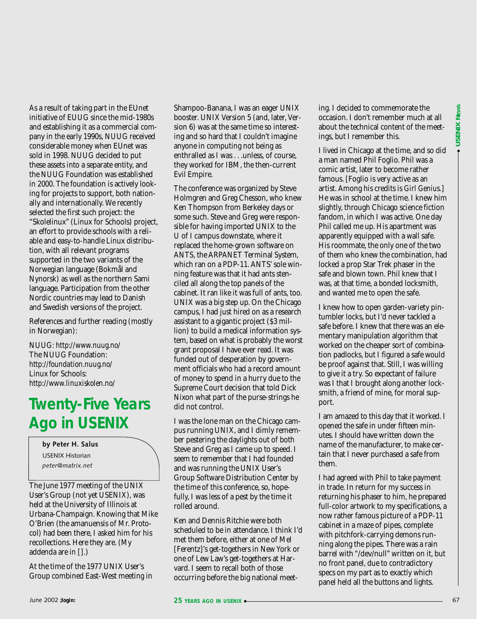As a result of taking part in the EUnet initiative of EUUG since the mid-1980s and establishing it as a commercial company in the early 1990s, NUUG received considerable money when EUnet was sold in 1998. NUUG decided to put these assets into a separate entity, and the NUUG Foundation was established in 2000. The foundation is actively looking for projects to support, both nationally and internationally. We recently selected the first such project: the "Skolelinux" (Linux for Schools) project, an effort to provide schools with a reliable and easy-to-handle Linux distribution, with all relevant programs supported in the two variants of the Norwegian language (Bokmål and Nynorsk) as well as the northern Sami language. Participation from the other Nordic countries may lead to Danish and Swedish versions of the project.

References and further reading (mostly in Norwegian):

NUUG: *<http://www.nuug.no/>* The NUUG Foundation: *<http://foundation.nuug.no/>* Linux for Schools: *<http://www.linuxiskolen.no/>*

### **Twenty-Five Years Ago in USENIX**

**by Peter H. Salus** USENIX Historian *peter@matrix.net*

The June 1977 meeting of the UNIX User's Group (not yet USENIX), was held at the University of Illinois at Urbana-Champaign. Knowing that Mike O'Brien (the amanuensis of Mr. Protocol) had been there, I asked him for his recollections. Here they are. (My addenda are in [].)

At the time of the 1977 UNIX User's Group combined East-West meeting in Shampoo-Banana, I was an eager UNIX booster. UNIX Version 5 (and, later, Version 6) was at the same time so interesting and so hard that I couldn't imagine anyone in computing not being as enthralled as I was . . .unless, of course, they worked for IBM, the then-current Evil Empire.

The conference was organized by Steve Holmgren and Greg Chesson, who knew Ken Thompson from Berkeley days or some such. Steve and Greg were responsible for having imported UNIX to the U of I campus downstate, where it replaced the home-grown software on ANTS, the ARPANET Terminal System, which ran on a PDP-11. ANTS' sole winning feature was that it had ants stenciled all along the top panels of the cabinet. It ran like it was full of ants, too. UNIX was a big step up. On the Chicago campus, I had just hired on as a research assistant to a gigantic project (\$3 million) to build a medical information system, based on what is probably the worst grant proposal I have ever read. It was funded out of desperation by government officials who had a record amount of money to spend in a hurry due to the Supreme Court decision that told Dick Nixon what part of the purse-strings he did not control.

I was the lone man on the Chicago campus running UNIX, and I dimly remember pestering the daylights out of both Steve and Greg as I came up to speed. I seem to remember that I had founded and was running the UNIX User's Group Software Distribution Center by the time of this conference, so, hopefully, I was less of a pest by the time it rolled around.

Ken and Dennis Ritchie were both scheduled to be in attendance. I think I'd met them before, either at one of Mel [Ferentz]'s get-togethers in New York or one of Lew Law's get-togethers at Harvard. I seem to recall both of those occurring before the big national meeting. I decided to commemorate the occasion. I don't remember much at all about the technical content of the meetings, but I remember this.

I lived in Chicago at the time, and so did a man named Phil Foglio. Phil was a comic artist, later to become rather famous. [Foglio is very active as an artist. Among his credits is *Girl Genius*.] He was in school at the time. I knew him slightly, through Chicago science fiction fandom, in which I was active. One day Phil called me up. His apartment was apparently equipped with a wall safe. His roommate, the only one of the two of them who knew the combination, had locked a prop Star Trek phaser in the safe and blown town. Phil knew that I was, at that time, a bonded locksmith, and wanted me to open the safe.

I knew how to open garden-variety pintumbler locks, but I'd never tackled a safe before. I knew that there was an elementary manipulation algorithm that worked on the cheaper sort of combination padlocks, but I figured a safe would be proof against that. Still, I was willing to give it a try. So expectant of failure was I that I brought along another locksmith, a friend of mine, for moral support.

I am amazed to this day that it worked. I opened the safe in under fifteen minutes. I should have written down the name of the manufacturer, to make certain that I never purchased a safe from them.

I had agreed with Phil to take payment in trade. In return for my success in returning his phaser to him, he prepared full-color artwork to my specifications, a now rather famous picture of a PDP-11 cabinet in a maze of pipes, complete with pitchfork-carrying demons running along the pipes. There was a rain barrel with "/dev/null" written on it, but no front panel, due to contradictory specs on my part as to exactly which panel held all the buttons and lights.